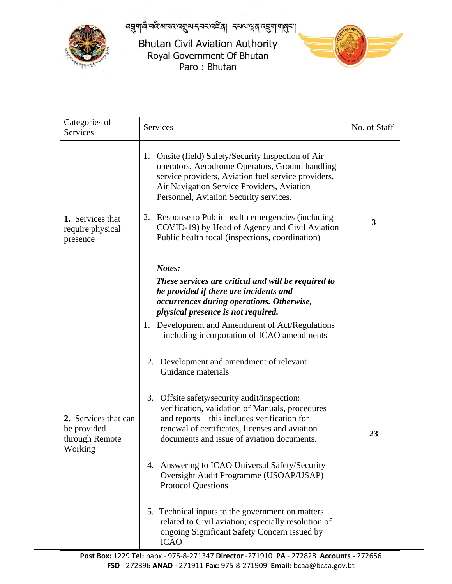प्तुणाले नदे बागद द्युवा द्वन्दद्वा द्ववा पूर्व द्वया पालुहा



**Bhutan Civil Aviation Authority** Royal Government Of Bhutan Paro: Bhutan



| Categories of<br>Services                                        | <b>Services</b>                                                                                                                                                                                                                                                                                                                                                                                                                                                                                                                                                                                                                                                                                                               | No. of Staff |
|------------------------------------------------------------------|-------------------------------------------------------------------------------------------------------------------------------------------------------------------------------------------------------------------------------------------------------------------------------------------------------------------------------------------------------------------------------------------------------------------------------------------------------------------------------------------------------------------------------------------------------------------------------------------------------------------------------------------------------------------------------------------------------------------------------|--------------|
| 1. Services that<br>require physical<br>presence                 | Onsite (field) Safety/Security Inspection of Air<br>1.<br>operators, Aerodrome Operators, Ground handling<br>service providers, Aviation fuel service providers,<br>Air Navigation Service Providers, Aviation<br>Personnel, Aviation Security services.<br>2. Response to Public health emergencies (including<br>COVID-19) by Head of Agency and Civil Aviation<br>Public health focal (inspections, coordination)                                                                                                                                                                                                                                                                                                          | 3            |
|                                                                  | Notes:<br>These services are critical and will be required to<br>be provided if there are incidents and<br>occurrences during operations. Otherwise,<br>physical presence is not required.                                                                                                                                                                                                                                                                                                                                                                                                                                                                                                                                    |              |
| 2. Services that can<br>be provided<br>through Remote<br>Working | 1. Development and Amendment of Act/Regulations<br>- including incorporation of ICAO amendments<br>Development and amendment of relevant<br>2.<br>Guidance materials<br>Offsite safety/security audit/inspection:<br>3.<br>verification, validation of Manuals, procedures<br>and reports – this includes verification for<br>renewal of certificates, licenses and aviation<br>documents and issue of aviation documents.<br>4. Answering to ICAO Universal Safety/Security<br>Oversight Audit Programme (USOAP/USAP)<br><b>Protocol Questions</b><br>5. Technical inputs to the government on matters<br>related to Civil aviation; especially resolution of<br>ongoing Significant Safety Concern issued by<br><b>ICAO</b> | 23           |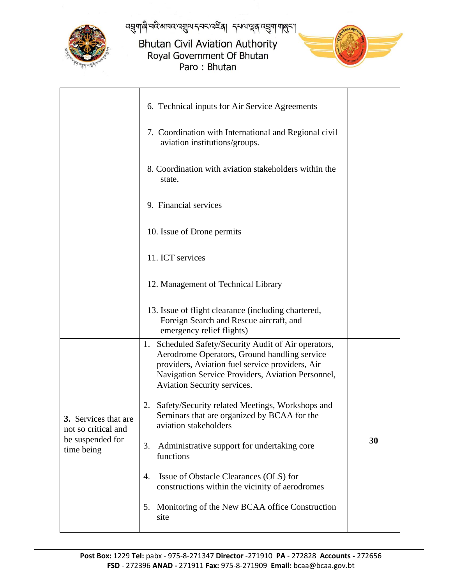

प्तुणाले नदे बागद द्युवा द्वन्द दहूब् । द्वया सूब द्युण गातुन्।

## **Bhutan Civil Aviation Authority** Royal Government Of Bhutan Paro: Bhutan



|                                                                               | 6. Technical inputs for Air Service Agreements                                                                                                                                                                                                 |    |  |  |
|-------------------------------------------------------------------------------|------------------------------------------------------------------------------------------------------------------------------------------------------------------------------------------------------------------------------------------------|----|--|--|
|                                                                               | 7. Coordination with International and Regional civil<br>aviation institutions/groups.                                                                                                                                                         |    |  |  |
|                                                                               | 8. Coordination with aviation stakeholders within the<br>state.                                                                                                                                                                                |    |  |  |
|                                                                               | 9. Financial services                                                                                                                                                                                                                          |    |  |  |
|                                                                               | 10. Issue of Drone permits                                                                                                                                                                                                                     |    |  |  |
|                                                                               | 11. ICT services                                                                                                                                                                                                                               |    |  |  |
|                                                                               | 12. Management of Technical Library                                                                                                                                                                                                            |    |  |  |
|                                                                               | 13. Issue of flight clearance (including chartered,<br>Foreign Search and Rescue aircraft, and<br>emergency relief flights)                                                                                                                    |    |  |  |
|                                                                               | Scheduled Safety/Security Audit of Air operators,<br>1.<br>Aerodrome Operators, Ground handling service<br>providers, Aviation fuel service providers, Air<br>Navigation Service Providers, Aviation Personnel,<br>Aviation Security services. |    |  |  |
| 3. Services that are<br>not so critical and<br>be suspended for<br>time being | Safety/Security related Meetings, Workshops and<br>2.<br>Seminars that are organized by BCAA for the<br>aviation stakeholders                                                                                                                  |    |  |  |
|                                                                               | Administrative support for undertaking core<br>3.<br>functions                                                                                                                                                                                 | 30 |  |  |
|                                                                               | Issue of Obstacle Clearances (OLS) for<br>4.<br>constructions within the vicinity of aerodromes                                                                                                                                                |    |  |  |
|                                                                               | Monitoring of the New BCAA office Construction<br>5.<br>site                                                                                                                                                                                   |    |  |  |